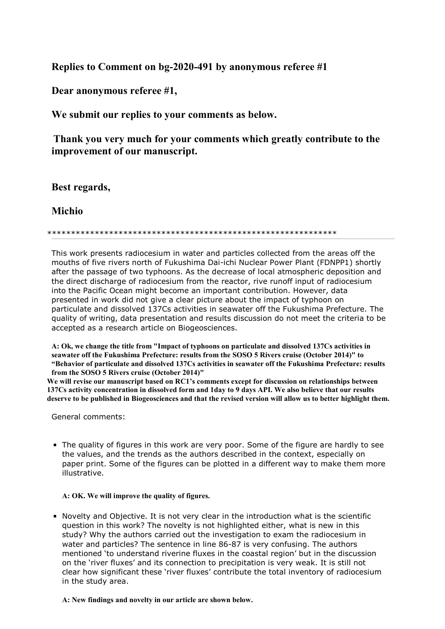# **Replies to Comment on bg-2020-491 by anonymous referee #1**

**Dear anonymous referee #1,**

**We submit our replies to your comments as below.**

**Thank you very much for your comments which greatly contribute to the improvement of our manuscript.**

**Best regards,**

## **Michio**

### \*\*\*\*\*\*\*\*\*\*\*\*\*\*\*\*\*\*\*\*\*\*\*\*\*\*\*\*\*\*\*\*\*\*\*\*\*\*\*\*\*\*\*\*\*\*\*\*\*\*\*\*\*\*\*\*\*\*\*\*\*

This work presents radiocesium in water and particles collected from the areas off the mouths of five rivers north of Fukushima Dai-ichi Nuclear Power Plant (FDNPP1) shortly after the passage of two typhoons. As the decrease of local atmospheric deposition and the direct discharge of radiocesium from the reactor, rive runoff input of radiocesium into the Pacific Ocean might become an important contribution. However, data presented in work did not give a clear picture about the impact of typhoon on particulate and dissolved 137Cs activities in seawater off the Fukushima Prefecture. The quality of writing, data presentation and results discussion do not meet the criteria to be accepted as a research article on Biogeosciences.

**A: Ok, we change the title from "Impact of typhoons on particulate and dissolved 137Cs activities in seawater off the Fukushima Prefecture: results from the SOSO 5 Rivers cruise (October 2014)" to "Behavior of particulate and dissolved 137Cs activities in seawater off the Fukushima Prefecture: results from the SOSO 5 Rivers cruise (October 2014)"**

**We will revise our manuscript based on RC1's comments except for discussion on relationships between 137Cs activity concentration in dissolved form and 1day to 9 days API. We also believe that our results deserve to be published in Biogeosciences and that the revised version will allow us to better highlight them.**

General comments:

The quality of figures in this work are very poor. Some of the figure are hardly to see the values, and the trends as the authors described in the context, especially on paper print. Some of the figures can be plotted in a different way to make them more illustrative.

## **A: OK. We will improve the quality of figures.**

- Novelty and Objective. It is not very clear in the introduction what is the scientific question in this work? The novelty is not highlighted either, what is new in this study? Why the authors carried out the investigation to exam the radiocesium in water and particles? The sentence in line 86-87 is very confusing. The authors mentioned 'to understand riverine fluxes in the coastal region' but in the discussion on the 'river fluxes' and its connection to precipitation is very weak. It is still not clear how significant these 'river fluxes' contribute the total inventory of radiocesium in the study area.
	- **A: New findings and novelty in our article are shown below.**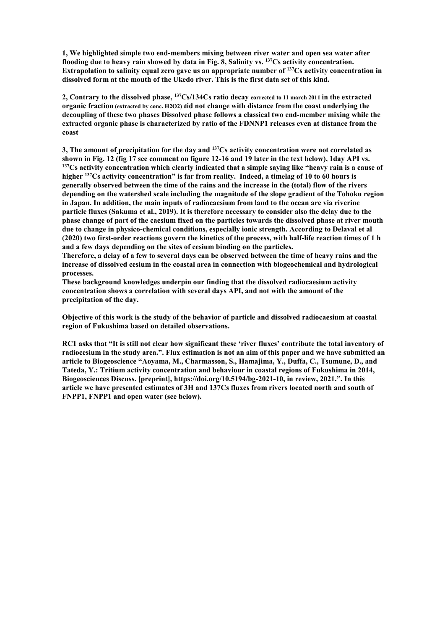**1, We highlighted simple two end-members mixing between river water and open sea water after flooding due to heavy rain showed by data in Fig. 8, Salinity vs. 137Cs activity concentration. Extrapolation to salinity equal zero gave us an appropriate number of 137Cs activity concentration in dissolved form at the mouth of the Ukedo river. This is the first data set of this kind.** 

**2, Contrary to the dissolved phase, 137Cs/134Cs ratio decay corrected to 11 march 2011 in the extracted organic fraction (extracted by conc. H2O2) did not change with distance from the coast underlying the decoupling of these two phases Dissolved phase follows a classical two end-member mixing while the extracted organic phase is characterized by ratio of the FDNNP1 releases even at distance from the coast**

**3, The amount of precipitation for the day and 137Cs activity concentration were not correlated as**  <sup>137</sup>Cs activity concentration which clearly indicated that a simple saying like "heavy rain is a cause of **higher 137Cs activity concentration" is far from reality. Indeed, a timelag of 10 to 60 hours is generally observed between the time of the rains and the increase in the (total) flow of the rivers depending on the watershed scale including the magnitude of the slope gradient of the Tohoku region in Japan. In addition, the main inputs of radiocaesium from land to the ocean are via riverine particle fluxes (Sakuma et al., 2019). It is therefore necessary to consider also the delay due to the phase change of part of the caesium fixed on the particles towards the dissolved phase at river mouth due to change in physico-chemical conditions, especially ionic strength. According to Delaval et al (2020) two first-order reactions govern the kinetics of the process, with half-life reaction times of 1 h and a few days depending on the sites of cesium binding on the particles.**

**Therefore, a delay of a few to several days can be observed between the time of heavy rains and the increase of dissolved cesium in the coastal area in connection with biogeochemical and hydrological processes.** 

**These background knowledges underpin our finding that the dissolved radiocaesium activity concentration shows a correlation with several days API, and not with the amount of the precipitation of the day.** 

**Objective of this work is the study of the behavior of particle and dissolved radiocaesium at coastal region of Fukushima based on detailed observations.**

**RC1 asks that "It is still not clear how significant these 'river fluxes' contribute the total inventory of radiocesium in the study area.". Flux estimation is not an aim of this paper and we have submitted an article to Biogeoscience "Aoyama, M., Charmasson, S., Hamajima, Y., Duffa, C., Tsumune, D., and Tateda, Y.: Tritium activity concentration and behaviour in coastal regions of Fukushima in 2014, Biogeosciences Discuss. [preprint], https://doi.org/10.5194/bg-2021-10, in review, 2021.". In this article we have presented estimates of 3H and 137Cs fluxes from rivers located north and south of FNPP1, FNPP1 and open water (see below).**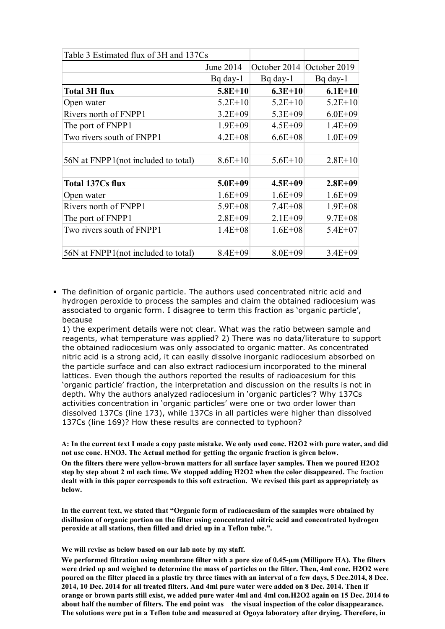| Table 3 Estimated flux of 3H and 137Cs |             |                           |             |
|----------------------------------------|-------------|---------------------------|-------------|
|                                        | June 2014   | October 2014 October 2019 |             |
|                                        | $Bq$ day-1  | $Bq$ day-1                | $Bq$ day-1  |
| <b>Total 3H flux</b>                   | $5.8E + 10$ | $6.3E+10$                 | $6.1E+10$   |
| Open water                             | $5.2E+10$   | $5.2E+10$                 | $5.2E+10$   |
| Rivers north of FNPP1                  | $3.2E + 09$ | $5.3E + 09$               | $6.0E + 09$ |
| The port of FNPP1                      | $1.9E + 09$ | $4.5E + 09$               | $1.4E + 09$ |
| Two rivers south of FNPP1              | $4.2E + 08$ | $6.6E + 08$               | $1.0E + 09$ |
|                                        |             |                           |             |
| 56N at FNPP1(not included to total)    | $8.6E+10$   | $5.6E+10$                 | $2.8E+10$   |
|                                        |             |                           |             |
| <b>Total 137Cs flux</b>                | $5.0E + 09$ | $4.5E + 09$               | $2.8E + 09$ |
| Open water                             | $1.6E + 09$ | $1.6E + 09$               | $1.6E + 09$ |
| Rivers north of FNPP1                  | $5.9E + 08$ | $7.4E + 08$               | $1.9E + 08$ |
| The port of FNPP1                      | $2.8E + 09$ | $2.1E + 09$               | $9.7E + 08$ |
| Two rivers south of FNPP1              | $1.4E + 08$ | $1.6E + 08$               | $5.4E + 07$ |
|                                        |             |                           |             |
| 56N at FNPP1(not included to total)    | $8.4E + 09$ | $8.0E + 09$               | $3.4E + 09$ |

The definition of organic particle. The authors used concentrated nitric acid and hydrogen peroxide to process the samples and claim the obtained radiocesium was associated to organic form. I disagree to term this fraction as 'organic particle', because

1) the experiment details were not clear. What was the ratio between sample and reagents, what temperature was applied? 2) There was no data/literature to support the obtained radiocesium was only associated to organic matter. As concentrated nitric acid is a strong acid, it can easily dissolve inorganic radiocesium absorbed on the particle surface and can also extract radiocesium incorporated to the mineral lattices. Even though the authors reported the results of radioacesium for this 'organic particle' fraction, the interpretation and discussion on the results is not in depth. Why the authors analyzed radiocesium in 'organic particles'? Why 137Cs activities concentration in 'organic particles' were one or two order lower than dissolved 137Cs (line 173), while 137Cs in all particles were higher than dissolved 137Cs (line 169)? How these results are connected to typhoon?

**A: In the current text I made a copy paste mistake. We only used conc. H2O2 with pure water, and did not use conc. HNO3. The Actual method for getting the organic fraction is given below.**

**On the filters there were yellow-brown matters for all surface layer samples. Then we poured H2O2 step by step about 2 ml each time. We stopped adding H2O2 when the color disappeared.** The fraction **dealt with in this paper corresponds to this soft extraction. We revised this part as appropriately as below.**

**In the current text, we stated that "Organic form of radiocaesium of the samples were obtained by disillusion of organic portion on the filter using concentrated nitric acid and concentrated hydrogen peroxide at all stations, then filled and dried up in a Teflon tube.".** 

**We will revise as below based on our lab note by my staff.**

**We performed filtration using membrane filter with a pore size of 0.45-µm (Millipore HA). The filters were dried up and weighed to determine the mass of particles on the filter. Then, 4ml conc. H2O2 were poured on the filter placed in a plastic try three times with an interval of a few days, 5 Dec.2014, 8 Dec. 2014, 10 Dec. 2014 for all treated filters. And 4ml pure water were added on 8 Dec. 2014. Then if orange or brown parts still exist, we added pure water 4ml and 4ml con.H2O2 again on 15 Dec. 2014 to about half the number of filters. The end point was the visual inspection of the color disappearance. The solutions were put in a Teflon tube and measured at Ogoya laboratory after drying. Therefore, in**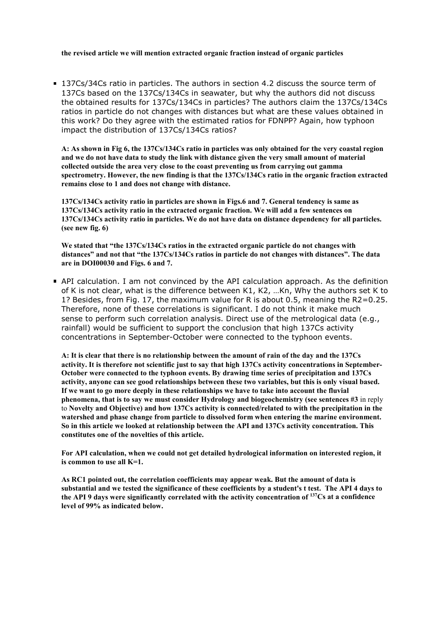**the revised article we will mention extracted organic fraction instead of organic particles** 

137Cs/34Cs ratio in particles. The authors in section 4.2 discuss the source term of 137Cs based on the 137Cs/134Cs in seawater, but why the authors did not discuss the obtained results for 137Cs/134Cs in particles? The authors claim the 137Cs/134Cs ratios in particle do not changes with distances but what are these values obtained in this work? Do they agree with the estimated ratios for FDNPP? Again, how typhoon impact the distribution of 137Cs/134Cs ratios?

**A: As shown in Fig 6, the 137Cs/134Cs ratio in particles was only obtained for the very coastal region and we do not have data to study the link with distance given the very small amount of material collected outside the area very close to the coast preventing us from carrying out gamma spectrometry. However, the new finding is that the 137Cs/134Cs ratio in the organic fraction extracted remains close to 1 and does not change with distance.** 

**137Cs/134Cs activity ratio in particles are shown in Figs.6 and 7. General tendency is same as 137Cs/134Cs activity ratio in the extracted organic fraction. We will add a few sentences on 137Cs/134Cs activity ratio in particles. We do not have data on distance dependency for all particles. (see new fig. 6)**

**We stated that "the 137Cs/134Cs ratios in the extracted organic particle do not changes with distances" and not that "the 137Cs/134Cs ratios in particle do not changes with distances". The data are in DOI00030 and Figs. 6 and 7.**

API calculation. I am not convinced by the API calculation approach. As the definition of K is not clear, what is the difference between K1, K2, …Kn, Why the authors set K to 1? Besides, from Fig. 17, the maximum value for R is about 0.5, meaning the R2=0.25. Therefore, none of these correlations is significant. I do not think it make much sense to perform such correlation analysis. Direct use of the metrological data (e.g., rainfall) would be sufficient to support the conclusion that high 137Cs activity concentrations in September-October were connected to the typhoon events.

**A: It is clear that there is no relationship between the amount of rain of the day and the 137Cs activity. It is therefore not scientific just to say that high 137Cs activity concentrations in September-October were connected to the typhoon events. By drawing time series of precipitation and 137Cs activity, anyone can see good relationships between these two variables, but this is only visual based. If we want to go more deeply in these relationships we have to take into account the fluvial phenomena, that is to say we must consider Hydrology and biogeochemistry (see sentences #3** in reply to **Novelty and Objective) and how 137Cs activity is connected/related to with the precipitation in the watershed and phase change from particle to dissolved form when entering the marine environment. So in this article we looked at relationship between the API and 137Cs activity concentration. This constitutes one of the novelties of this article.**

**For API calculation, when we could not get detailed hydrological information on interested region, it is common to use all K=1.**

**As RC1 pointed out, the correlation coefficients may appear weak. But the amount of data is substantial and we tested the significance of these coefficients by a student's t test. The API 4 days to the API 9 days were significantly correlated with the activity concentration of 137Cs at a confidence level of 99% as indicated below.**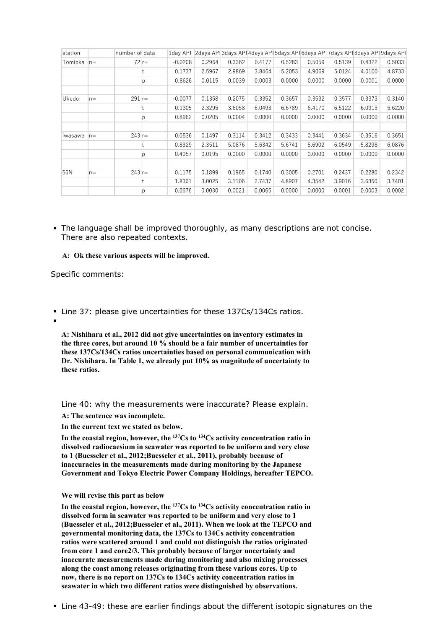| station |       | number of data |         | 1dav API  |        |        |        |        |        |        |        | 2days API3days API4days API5days API6days API7days API8days API9days API |
|---------|-------|----------------|---------|-----------|--------|--------|--------|--------|--------|--------|--------|--------------------------------------------------------------------------|
| Tomioka | $n =$ |                | $72$ r= | $-0.0208$ | 0.2964 | 0.3362 | 0.4177 | 0.5283 | 0.5059 | 0.5139 | 0.4322 | 0.5033                                                                   |
|         |       |                |         | 0.1737    | 2.5967 | 2.9869 | 3.8464 | 5.2053 | 4.9069 | 5.0124 | 4.0100 | 4.8733                                                                   |
|         |       |                | р       | 0.8626    | 0.0115 | 0.0039 | 0.0003 | 0.0000 | 0.0000 | 0.0000 | 0.0001 | 0.0000                                                                   |
|         |       |                |         |           |        |        |        |        |        |        |        |                                                                          |
| Ukedo   | $n =$ | $291$ r=       |         | $-0.0077$ | 0.1358 | 0.2075 | 0.3352 | 0.3657 | 0.3532 | 0.3577 | 0.3373 | 0.3140                                                                   |
|         |       |                |         | 0.1305    | 2.3295 | 3.6058 | 6.0493 | 6.6789 | 6.4170 | 6.5122 | 6.0913 | 5.6220                                                                   |
|         |       |                | p       | 0.8962    | 0.0205 | 0.0004 | 0.0000 | 0.0000 | 0.0000 | 0.0000 | 0.0000 | 0.0000                                                                   |
|         |       |                |         |           |        |        |        |        |        |        |        |                                                                          |
| lwasawa | $n =$ | $243$ r=       |         | 0.0536    | 0.1497 | 0.3114 | 0.3412 | 0.3433 | 0.3441 | 0.3634 | 0.3516 | 0.3651                                                                   |
|         |       |                |         | 0.8329    | 2.3511 | 5.0876 | 5.6342 | 5.6741 | 5.6902 | 6.0549 | 5.8298 | 6.0876                                                                   |
|         |       |                | D       | 0.4057    | 0.0195 | 0.0000 | 0.0000 | 0.0000 | 0.0000 | 0.0000 | 0.0000 | 0.0000                                                                   |
|         |       |                |         |           |        |        |        |        |        |        |        |                                                                          |
| 56N     | $n =$ | $243 r =$      |         | 0.1175    | 0.1899 | 0.1965 | 0.1740 | 0.3005 | 0.2701 | 0.2437 | 0.2280 | 0.2342                                                                   |
|         |       |                |         | 1.8361    | 3.0025 | 3.1106 | 2.7437 | 4.8907 | 4.3542 | 3.9016 | 3.6350 | 3.7401                                                                   |
|         |       |                | D       | 0.0676    | 0.0030 | 0.0021 | 0.0065 | 0.0000 | 0.0000 | 0.0001 | 0.0003 | 0.0002                                                                   |

- The language shall be improved thoroughly, as many descriptions are not concise. There are also repeated contexts.
	- **A: Ok these various aspects will be improved.**

Specific comments:

■ Line 37: please give uncertainties for these 137Cs/134Cs ratios.

**A: Nishihara et al., 2012 did not give uncertainties on inventory estimates in the three cores, but around 10 % should be a fair number of uncertainties for these 137Cs/134Cs ratios uncertainties based on personal communication with Dr. Nishihara. In Table 1, we already put 10% as magnitude of uncertainty to these ratios.**

Line 40: why the measurements were inaccurate? Please explain.

**A: The sentence was incomplete.** 

**In the current text we stated as below.**

**In the coastal region, however, the 137Cs to 134Cs activity concentration ratio in dissolved radiocaesium in seawater was reported to be uniform and very close to 1 (Buesseler et al., 2012;Buesseler et al., 2011), probably because of inaccuracies in the measurements made during monitoring by the Japanese Government and Tokyo Electric Power Company Holdings, hereafter TEPCO.**

**We will revise this part as below**

**In the coastal region, however, the 137Cs to 134Cs activity concentration ratio in dissolved form in seawater was reported to be uniform and very close to 1 (Buesseler et al., 2012;Buesseler et al., 2011). When we look at the TEPCO and governmental monitoring data, the 137Cs to 134Cs activity concentration ratios were scattered around 1 and could not distinguish the ratios originated from core 1 and core2/3. This probably because of larger uncertainty and inaccurate measurements made during monitoring and also mixing processes along the coast among releases originating from these various cores. Up to now, there is no report on 137Cs to 134Cs activity concentration ratios in seawater in which two different ratios were distinguished by observations.**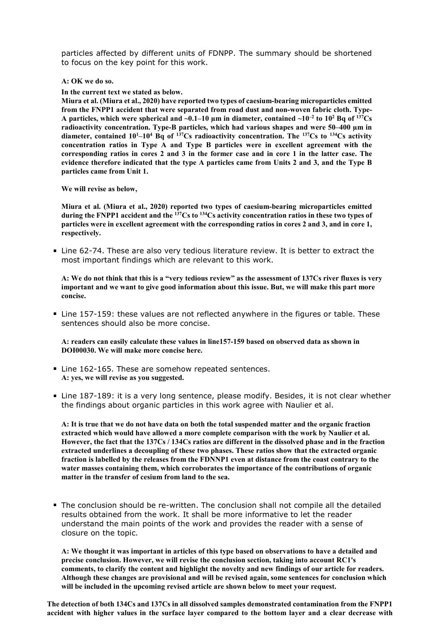particles affected by different units of FDNPP. The summary should be shortened to focus on the key point for this work.

### **A: OK we do so.**

**In the current text we stated as below.**

**Miura et al. (Miura et al., 2020) have reported two types of caesium‑bearing microparticles emitted from the FNPP1 accident that were separated from road dust and non-woven fabric cloth. Type-**A particles, which were spherical and  $\sim$ 0.1–10  $\mu$ m in diameter, contained  $\sim$ 10<sup>-2</sup> to 10<sup>2</sup> Bq of <sup>137</sup>Cs **radioactivity concentration. Type-B particles, which had various shapes and were 50–400 µm in diameter, contained 101 –104 Bq of 137Cs radioactivity concentration. The 137Cs to 134Cs activity concentration ratios in Type A and Type B particles were in excellent agreement with the corresponding ratios in cores 2 and 3 in the former case and in core 1 in the latter case. The evidence therefore indicated that the type A particles came from Units 2 and 3, and the Type B particles came from Unit 1.**

**We will revise as below,**

**Miura et al. (Miura et al., 2020) reported two types of caesium‑bearing microparticles emitted**  during the FNPP1 accident and the <sup>137</sup>Cs to <sup>134</sup>Cs activity concentration ratios in these two types of **particles were in excellent agreement with the corresponding ratios in cores 2 and 3, and in core 1, respectively.** 

Line 62-74. These are also very tedious literature review. It is better to extract the most important findings which are relevant to this work.

**A: We do not think that this is a "very tedious review" as the assessment of 137Cs river fluxes is very important and we want to give good information about this issue. But, we will make this part more concise.**

Line 157-159: these values are not reflected anywhere in the figures or table. These sentences should also be more concise.

**A: readers can easily calculate these values in line157-159 based on observed data as shown in DOI00030. We will make more concise here.**

- Line 162-165. These are somehow repeated sentences. **A: yes, we will revise as you suggested.**
- Line 187-189: it is a very long sentence, please modify. Besides, it is not clear whether the findings about organic particles in this work agree with Naulier et al.

**A: It is true that we do not have data on both the total suspended matter and the organic fraction extracted which would have allowed a more complete comparison with the work by Naulier et al. However, the fact that the 137Cs / 134Cs ratios are different in the dissolved phase and in the fraction extracted underlines a decoupling of these two phases. These ratios show that the extracted organic fraction is labelled by the releases from the FDNNP1 even at distance from the coast contrary to the water masses containing them, which corroborates the importance of the contributions of organic matter in the transfer of cesium from land to the sea.**

The conclusion should be re-written. The conclusion shall not compile all the detailed results obtained from the work. It shall be more informative to let the reader understand the main points of the work and provides the reader with a sense of closure on the topic.

**A: We thought it was important in articles of this type based on observations to have a detailed and precise conclusion. However, we will revise the conclusion section, taking into account RC1's comments, to clarify the content and highlight the novelty and new findings of our article for readers. Although these changes are provisional and will be revised again, some sentences for conclusion which will be included in the upcoming revised article are shown below to meet your request.**

**The detection of both 134Cs and 137Cs in all dissolved samples demonstrated contamination from the FNPP1 accident with higher values in the surface layer compared to the bottom layer and a clear decrease with**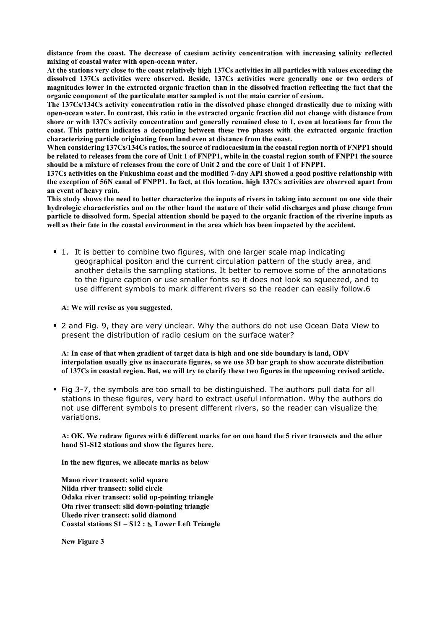**distance from the coast. The decrease of caesium activity concentration with increasing salinity reflected mixing of coastal water with open-ocean water.** 

**At the stations very close to the coast relatively high 137Cs activities in all particles with values exceeding the dissolved 137Cs activities were observed. Beside, 137Cs activities were generally one or two orders of magnitudes lower in the extracted organic fraction than in the dissolved fraction reflecting the fact that the organic component of the particulate matter sampled is not the main carrier of cesium.** 

**The 137Cs/134Cs activity concentration ratio in the dissolved phase changed drastically due to mixing with open-ocean water. In contrast, this ratio in the extracted organic fraction did not change with distance from shore or with 137Cs activity concentration and generally remained close to 1, even at locations far from the coast. This pattern indicates a decoupling between these two phases with the extracted organic fraction characterizing particle originating from land even at distance from the coast.** 

**When considering 137Cs/134Cs ratios, the source of radiocaesium in the coastal region north of FNPP1 should be related to releases from the core of Unit 1 of FNPP1, while in the coastal region south of FNPP1 the source should be a mixture of releases from the core of Unit 2 and the core of Unit 1 of FNPP1.**

**137Cs activities on the Fukushima coast and the modified 7-day API showed a good positive relationship with the exception of 56N canal of FNPP1. In fact, at this location, high 137Cs activities are observed apart from an event of heavy rain.** 

**This study shows the need to better characterize the inputs of rivers in taking into account on one side their hydrologic characteristics and on the other hand the nature of their solid discharges and phase change from particle to dissolved form. Special attention should be payed to the organic fraction of the riverine inputs as well as their fate in the coastal environment in the area which has been impacted by the accident.** 

1. It is better to combine two figures, with one larger scale map indicating geographical positon and the current circulation pattern of the study area, and another details the sampling stations. It better to remove some of the annotations to the figure caption or use smaller fonts so it does not look so squeezed, and to use different symbols to mark different rivers so the reader can easily follow.6

#### **A: We will revise as you suggested.**

2 and Fig. 9, they are very unclear. Why the authors do not use Ocean Data View to present the distribution of radio cesium on the surface water?

**A: In case of that when gradient of target data is high and one side boundary is land, ODV interpolation usually give us inaccurate figures, so we use 3D bar graph to show accurate distribution of 137Cs in coastal region. But, we will try to clarify these two figures in the upcoming revised article.**

Fig 3-7, the symbols are too small to be distinguished. The authors pull data for all stations in these figures, very hard to extract useful information. Why the authors do not use different symbols to present different rivers, so the reader can visualize the variations.

**A: OK. We redraw figures with 6 different marks for on one hand the 5 river transects and the other hand S1-S12 stations and show the figures here.**

**In the new figures, we allocate marks as below**

**Mano river transect: solid square Niida river transect: solid circle Odaka river transect: solid up-pointing triangle Ota river transect: slid down-pointing triangle Ukedo river transect: solid diamond Coastal stations S1 – S12 :** ◺ **Lower Left Triangle**

**New Figure 3**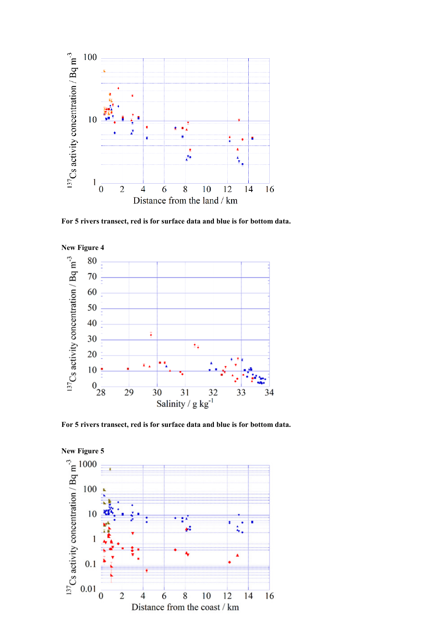

**For 5 rivers transect, red is for surface data and blue is for bottom data.**



**For 5 rivers transect, red is for surface data and blue is for bottom data.**



**New Figure 4**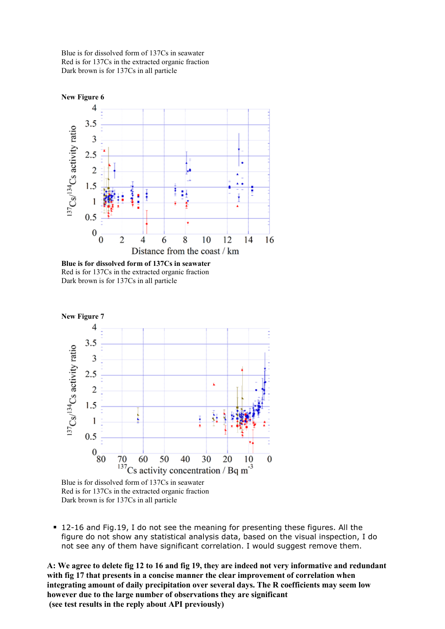Blue is for dissolved form of 137Cs in seawater Red is for 137Cs in the extracted organic fraction Dark brown is for 137Cs in all particle



**Blue is for dissolved form of 137Cs in seawater** Red is for 137Cs in the extracted organic fraction Dark brown is for 137Cs in all particle



Red is for 137Cs in the extracted organic fraction Dark brown is for 137Cs in all particle

■ 12-16 and Fig.19, I do not see the meaning for presenting these figures. All the figure do not show any statistical analysis data, based on the visual inspection, I do not see any of them have significant correlation. I would suggest remove them.

**A: We agree to delete fig 12 to 16 and fig 19, they are indeed not very informative and redundant with fig 17 that presents in a concise manner the clear improvement of correlation when integrating amount of daily precipitation over several days. The R coefficients may seem low however due to the large number of observations they are significant (see test results in the reply about API previously)**